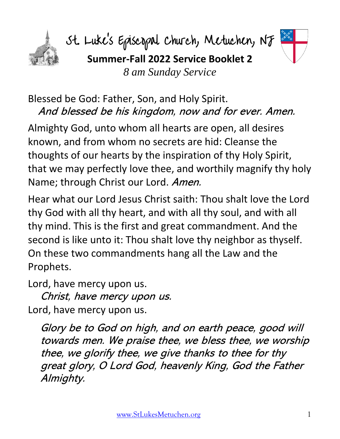

St. Luke's Episcopal Church, Metuchen, NJ **Summer-Fall 2022 Service Booklet 2** *8 am Sunday Service*



Almighty God, unto whom all hearts are open, all desires known, and from whom no secrets are hid: Cleanse the thoughts of our hearts by the inspiration of thy Holy Spirit, that we may perfectly love thee, and worthily magnify thy holy Name; through Christ our Lord. Amen.

Hear what our Lord Jesus Christ saith: Thou shalt love the Lord thy God with all thy heart, and with all thy soul, and with all thy mind. This is the first and great commandment. And the second is like unto it: Thou shalt love thy neighbor as thyself. On these two commandments hang all the Law and the Prophets.

Lord, have mercy upon us.

Christ, have mercy upon us. Lord, have mercy upon us.

Glory be to God on high, and on earth peace, good will towards men. We praise thee, we bless thee, we worship thee, we glorify thee, we give thanks to thee for thy great glory, O Lord God, heavenly King, God the Father Almighty.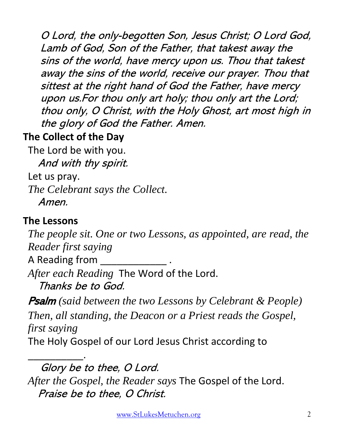O Lord, the only-begotten Son, Jesus Christ; O Lord God, Lamb of God, Son of the Father, that takest away the sins of the world, have mercy upon us. Thou that takest away the sins of the world, receive our prayer. Thou that sittest at the right hand of God the Father, have mercy upon us.For thou only art holy; thou only art the Lord; thou only, O Christ, with the Holy Ghost, art most high in the glory of God the Father. Amen.

## **The Collect of the Day**

The Lord be with you. And with thy spirit.

Let us pray.

*The Celebrant says the Collect.*

Amen.

## **The Lessons**

*The people sit. One or two Lessons, as appointed, are read, the Reader first saying* A Reading from \_\_\_\_\_\_

*After each Reading* The Word of the Lord. Thanks be to God.

Psalm *(said between the two Lessons by Celebrant & People) Then, all standing, the Deacon or a Priest reads the Gospel, first saying*

The Holy Gospel of our Lord Jesus Christ according to

\_\_\_\_\_\_\_\_\_\_. Glory be to thee, O Lord. *After the Gospel, the Reader says* The Gospel of the Lord. Praise be to thee, O Christ.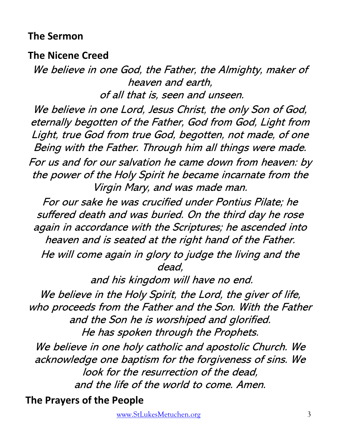#### **The Sermon**

**The Nicene Creed**

We believe in one God, the Father, the Almighty, maker of heaven and earth, of all that is, seen and unseen.

We believe in one Lord, Jesus Christ, the only Son of God, eternally begotten of the Father, God from God, Light from Light, true God from true God, begotten, not made, of one Being with the Father. Through him all things were made. For us and for our salvation he came down from heaven: by the power of the Holy Spirit he became incarnate from the Virgin Mary, and was made man.

For our sake he was crucified under Pontius Pilate; he suffered death and was buried. On the third day he rose again in accordance with the Scriptures; he ascended into heaven and is seated at the right hand of the Father. He will come again in glory to judge the living and the dead,

and his kingdom will have no end.

We believe in the Holy Spirit, the Lord, the giver of life, who proceeds from the Father and the Son. With the Father and the Son he is worshiped and glorified. He has spoken through the Prophets.

We believe in one holy catholic and apostolic Church. We acknowledge one baptism for the forgiveness of sins. We look for the resurrection of the dead, and the life of the world to come. Amen.

**The Prayers of the People**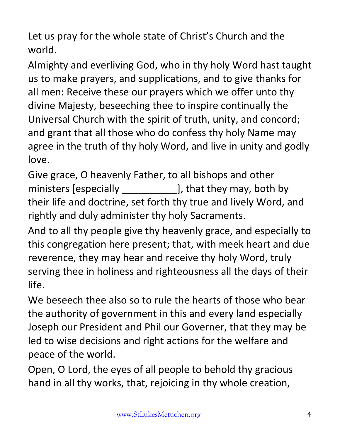Let us pray for the whole state of Christ's Church and the world.

Almighty and everliving God, who in thy holy Word hast taught us to make prayers, and supplications, and to give thanks for all men: Receive these our prayers which we offer unto thy divine Majesty, beseeching thee to inspire continually the Universal Church with the spirit of truth, unity, and concord; and grant that all those who do confess thy holy Name may agree in the truth of thy holy Word, and live in unity and godly love.

Give grace, O heavenly Father, to all bishops and other ministers [especially \_\_\_\_\_\_\_\_\_\_\_\_\_\_\_\_\_], that they may, both by their life and doctrine, set forth thy true and lively Word, and rightly and duly administer thy holy Sacraments.

And to all thy people give thy heavenly grace, and especially to this congregation here present; that, with meek heart and due reverence, they may hear and receive thy holy Word, truly serving thee in holiness and righteousness all the days of their life.

We beseech thee also so to rule the hearts of those who bear the authority of government in this and every land especially Joseph our President and Phil our Governer, that they may be led to wise decisions and right actions for the welfare and peace of the world.

Open, O Lord, the eyes of all people to behold thy gracious hand in all thy works, that, rejoicing in thy whole creation,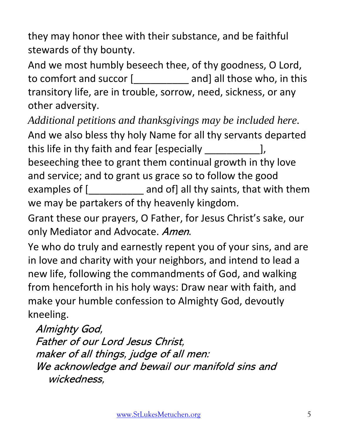they may honor thee with their substance, and be faithful stewards of thy bounty.

And we most humbly beseech thee, of thy goodness, O Lord, to comfort and succor [\_\_\_\_\_\_\_\_\_\_ and] all those who, in this transitory life, are in trouble, sorrow, need, sickness, or any other adversity.

*Additional petitions and thanksgivings may be included here.* And we also bless thy holy Name for all thy servants departed this life in thy faith and fear [especially \_\_\_\_\_\_\_\_\_\_], beseeching thee to grant them continual growth in thy love and service; and to grant us grace so to follow the good examples of [\_\_\_\_\_\_\_\_\_\_\_ and of] all thy saints, that with them we may be partakers of thy heavenly kingdom.

Grant these our prayers, O Father, for Jesus Christ's sake, our only Mediator and Advocate. Amen.

Ye who do truly and earnestly repent you of your sins, and are in love and charity with your neighbors, and intend to lead a new life, following the commandments of God, and walking from henceforth in his holy ways: Draw near with faith, and make your humble confession to Almighty God, devoutly kneeling.

Almighty God, Father of our Lord Jesus Christ, maker of all things, judge of all men: We acknowledge and bewail our manifold sins and wickedness,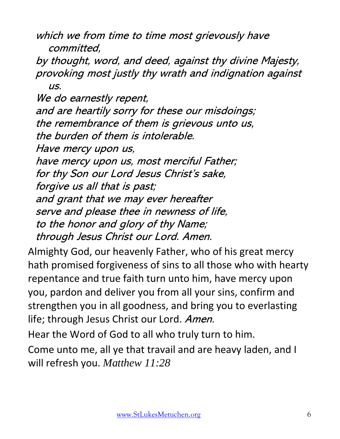which we from time to time most grievously have committed,

by thought, word, and deed, against thy divine Majesty, provoking most justly thy wrath and indignation against us.

We do earnestly repent, and are heartily sorry for these our misdoings; the remembrance of them is grievous unto us, the burden of them is intolerable. Have mercy upon us, have mercy upon us, most merciful Father; for thy Son our Lord Jesus Christ's sake, forgive us all that is past; and grant that we may ever hereafter serve and please thee in newness of life, to the honor and glory of thy Name; through Jesus Christ our Lord. Amen.

Almighty God, our heavenly Father, who of his great mercy hath promised forgiveness of sins to all those who with hearty repentance and true faith turn unto him, have mercy upon you, pardon and deliver you from all your sins, confirm and strengthen you in all goodness, and bring you to everlasting life; through Jesus Christ our Lord. Amen.

Hear the Word of God to all who truly turn to him.

Come unto me, all ye that travail and are heavy laden, and I will refresh you. *Matthew 11:28*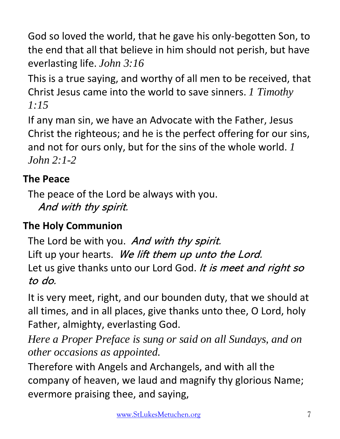God so loved the world, that he gave his only-begotten Son, to the end that all that believe in him should not perish, but have everlasting life. *John 3:16*

This is a true saying, and worthy of all men to be received, that Christ Jesus came into the world to save sinners. *1 Timothy 1:15*

If any man sin, we have an Advocate with the Father, Jesus Christ the righteous; and he is the perfect offering for our sins, and not for ours only, but for the sins of the whole world. *1 John 2:1-2*

## **The Peace**

The peace of the Lord be always with you. And with thy spirit.

# **The Holy Communion**

The Lord be with you. And with thy spirit. Lift up your hearts. We lift them up unto the Lord. Let us give thanks unto our Lord God. It is meet and right so to do.

It is very meet, right, and our bounden duty, that we should at all times, and in all places, give thanks unto thee, O Lord, holy Father, almighty, everlasting God.

*Here a Proper Preface is sung or said on all Sundays, and on other occasions as appointed.*

Therefore with Angels and Archangels, and with all the company of heaven, we laud and magnify thy glorious Name; evermore praising thee, and saying,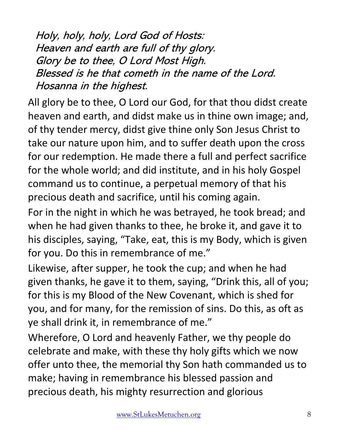Holy, holy, holy, Lord God of Hosts: Heaven and earth are full of thy glory. Glory be to thee, O Lord Most High. Blessed is he that cometh in the name of the Lord. Hosanna in the highest.

All glory be to thee, O Lord our God, for that thou didst create heaven and earth, and didst make us in thine own image; and, of thy tender mercy, didst give thine only Son Jesus Christ to take our nature upon him, and to suffer death upon the cross for our redemption. He made there a full and perfect sacrifice for the whole world; and did institute, and in his holy Gospel command us to continue, a perpetual memory of that his precious death and sacrifice, until his coming again.

For in the night in which he was betrayed, he took bread; and when he had given thanks to thee, he broke it, and gave it to his disciples, saying, "Take, eat, this is my Body, which is given for you. Do this in remembrance of me."

Likewise, after supper, he took the cup; and when he had given thanks, he gave it to them, saying, "Drink this, all of you; for this is my Blood of the New Covenant, which is shed for you, and for many, for the remission of sins. Do this, as oft as ye shall drink it, in remembrance of me."

Wherefore, O Lord and heavenly Father, we thy people do celebrate and make, with these thy holy gifts which we now offer unto thee, the memorial thy Son hath commanded us to make; having in remembrance his blessed passion and precious death, his mighty resurrection and glorious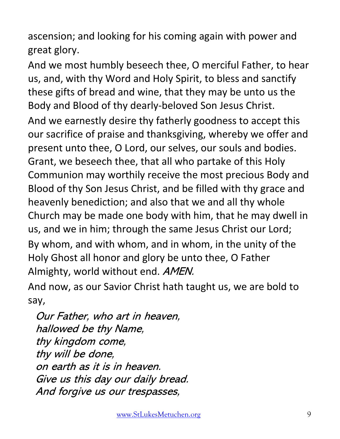ascension; and looking for his coming again with power and great glory.

And we most humbly beseech thee, O merciful Father, to hear us, and, with thy Word and Holy Spirit, to bless and sanctify these gifts of bread and wine, that they may be unto us the Body and Blood of thy dearly-beloved Son Jesus Christ.

And we earnestly desire thy fatherly goodness to accept this our sacrifice of praise and thanksgiving, whereby we offer and present unto thee, O Lord, our selves, our souls and bodies. Grant, we beseech thee, that all who partake of this Holy Communion may worthily receive the most precious Body and Blood of thy Son Jesus Christ, and be filled with thy grace and heavenly benediction; and also that we and all thy whole Church may be made one body with him, that he may dwell in us, and we in him; through the same Jesus Christ our Lord; By whom, and with whom, and in whom, in the unity of the Holy Ghost all honor and glory be unto thee, O Father Almighty, world without end. AMEN.

And now, as our Savior Christ hath taught us, we are bold to say,

Our Father, who art in heaven, hallowed be thy Name, thy kingdom come, thy will be done, on earth as it is in heaven. Give us this day our daily bread. And forgive us our trespasses,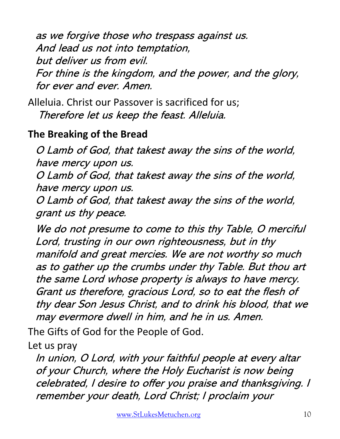as we forgive those who trespass against us. And lead us not into temptation, but deliver us from evil. For thine is the kingdom, and the power, and the glory, for ever and ever. Amen.

Alleluia. Christ our Passover is sacrificed for us; Therefore let us keep the feast. Alleluia.

#### **The Breaking of the Bread**

O Lamb of God, that takest away the sins of the world, have mercy upon us.

O Lamb of God, that takest away the sins of the world, have mercy upon us.

O Lamb of God, that takest away the sins of the world, grant us thy peace.

We do not presume to come to this thy Table, O merciful Lord, trusting in our own righteousness, but in thy manifold and great mercies. We are not worthy so much as to gather up the crumbs under thy Table. But thou art the same Lord whose property is always to have mercy. Grant us therefore, gracious Lord, so to eat the flesh of thy dear Son Jesus Christ, and to drink his blood, that we may evermore dwell in him, and he in us. Amen.

The Gifts of God for the People of God.

Let us pray

In union, O Lord, with your faithful people at every altar of your Church, where the Holy Eucharist is now being celebrated, I desire to offer you praise and thanksgiving. I remember your death, Lord Christ; I proclaim your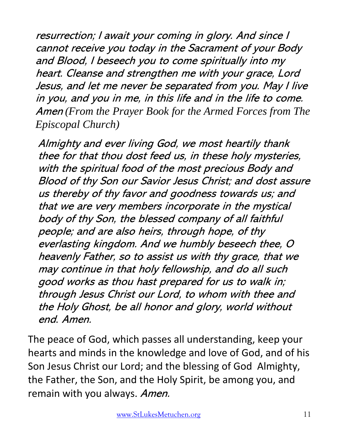resurrection; I await your coming in glory. And since I cannot receive you today in the Sacrament of your Body and Blood, I beseech you to come spiritually into my heart. Cleanse and strengthen me with your grace, Lord Jesus, and let me never be separated from you. May I live in you, and you in me, in this life and in the life to come. Amen *(From the Prayer Book for the Armed Forces from The Episcopal Church)*

Almighty and ever living God, we most heartily thank thee for that thou dost feed us, in these holy mysteries, with the spiritual food of the most precious Body and Blood of thy Son our Savior Jesus Christ; and dost assure us thereby of thy favor and goodness towards us; and that we are very members incorporate in the mystical body of thy Son, the blessed company of all faithful people; and are also heirs, through hope, of thy everlasting kingdom. And we humbly beseech thee, O heavenly Father, so to assist us with thy grace, that we may continue in that holy fellowship, and do all such good works as thou hast prepared for us to walk in; through Jesus Christ our Lord, to whom with thee and the Holy Ghost, be all honor and glory, world without end. Amen.

The peace of God, which passes all understanding, keep your hearts and minds in the knowledge and love of God, and of his Son Jesus Christ our Lord; and the blessing of God Almighty, the Father, the Son, and the Holy Spirit, be among you, and remain with you always. Amen.